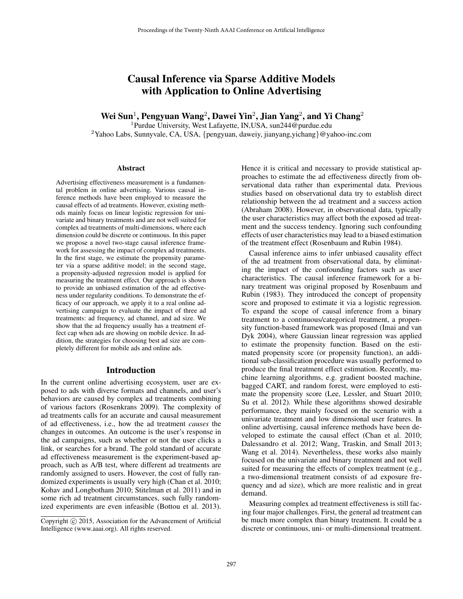# Causal Inference via Sparse Additive Models with Application to Online Advertising

Wei Sun<sup>1</sup>, Pengyuan Wang<sup>2</sup>, Dawei Yin<sup>2</sup>, Jian Yang<sup>2</sup>, and Yi Chang<sup>2</sup>

<sup>1</sup>Purdue University, West Lafayette, IN,USA, sun244@purdue.edu

<sup>2</sup>Yahoo Labs, Sunnyvale, CA, USA, {pengyuan, daweiy, jianyang, yichang}@yahoo-inc.com

#### **Abstract**

Advertising effectiveness measurement is a fundamental problem in online advertising. Various causal inference methods have been employed to measure the causal effects of ad treatments. However, existing methods mainly focus on linear logistic regression for univariate and binary treatments and are not well suited for complex ad treatments of multi-dimensions, where each dimension could be discrete or continuous. In this paper we propose a novel two-stage causal inference framework for assessing the impact of complex ad treatments. In the first stage, we estimate the propensity parameter via a sparse additive model; in the second stage, a propensity-adjusted regression model is applied for measuring the treatment effect. Our approach is shown to provide an unbiased estimation of the ad effectiveness under regularity conditions. To demonstrate the efficacy of our approach, we apply it to a real online advertising campaign to evaluate the impact of three ad treatments: ad frequency, ad channel, and ad size. We show that the ad frequency usually has a treatment effect cap when ads are showing on mobile device. In addition, the strategies for choosing best ad size are completely different for mobile ads and online ads.

# Introduction

In the current online advertising ecosystem, user are exposed to ads with diverse formats and channels, and user's behaviors are caused by complex ad treatments combining of various factors (Rosenkrans 2009). The complexity of ad treatments calls for an accurate and causal measurement of ad effectiveness, i.e., how the ad treatment *causes* the changes in outcomes. An outcome is the user's response in the ad campaigns, such as whether or not the user clicks a link, or searches for a brand. The gold standard of accurate ad effectiveness measurement is the experiment-based approach, such as A/B test, where different ad treatments are randomly assigned to users. However, the cost of fully randomized experiments is usually very high (Chan et al. 2010; Kohav and Longbotham 2010; Stitelman et al. 2011) and in some rich ad treatment circumstances, such fully randomized experiments are even infeasible (Bottou et al. 2013).

Hence it is critical and necessary to provide statistical approaches to estimate the ad effectiveness directly from observational data rather than experimental data. Previous studies based on observational data try to establish direct relationship between the ad treatment and a success action (Abraham 2008). However, in observational data, typically the user characteristics may affect both the exposed ad treatment and the success tendency. Ignoring such confounding effects of user characteristics may lead to a biased estimation of the treatment effect (Rosenbaum and Rubin 1984).

Causal inference aims to infer unbiased causality effect of the ad treatment from observational data, by eliminating the impact of the confounding factors such as user characteristics. The causal inference framework for a binary treatment was original proposed by Rosenbaum and Rubin (1983). They introduced the concept of propensity score and proposed to estimate it via a logistic regression. To expand the scope of causal inference from a binary treatment to a continuous/categorical treatment, a propensity function-based framework was proposed (Imai and van Dyk 2004), where Gaussian linear regression was applied to estimate the propensity function. Based on the estimated propensity score (or propensity function), an additional sub-classification procedure was usually performed to produce the final treatment effect estimation. Recently, machine learning algorithms, e.g. gradient boosted machine, bagged CART, and random forest, were employed to estimate the propensity score (Lee, Lessler, and Stuart 2010; Su et al. 2012). While these algorithms showed desirable performance, they mainly focused on the scenario with a univariate treatment and low dimensional user features. In online advertising, causal inference methods have been developed to estimate the causal effect (Chan et al. 2010; Dalessandro et al. 2012; Wang, Traskin, and Small 2013; Wang et al. 2014). Nevertheless, these works also mainly focused on the univariate and binary treatment and not well suited for measuring the effects of complex treatment (e.g., a two-dimensional treatment consists of ad exposure frequency and ad size), which are more realistic and in great demand.

Measuring complex ad treatment effectiveness is still facing four major challenges. First, the general ad treatment can be much more complex than binary treatment. It could be a discrete or continuous, uni- or multi-dimensional treatment.

Copyright (c) 2015, Association for the Advancement of Artificial Intelligence (www.aaai.org). All rights reserved.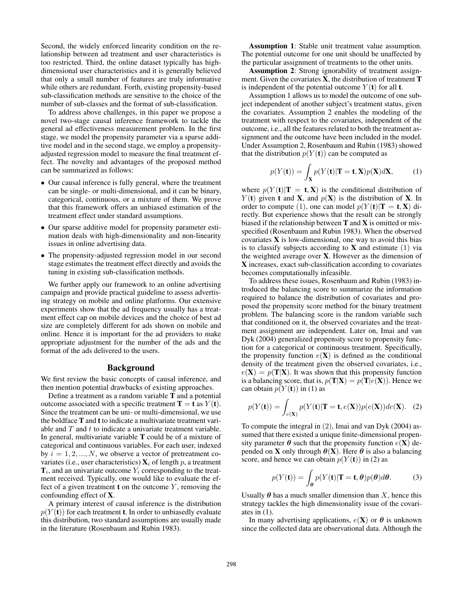Second, the widely enforced linearity condition on the relationship between ad treatment and user characteristics is too restricted. Third, the online dataset typically has highdimensional user characteristics and it is generally believed that only a small number of features are truly informative while others are redundant. Forth, existing propensity-based sub-classification methods are sensitive to the choice of the number of sub-classes and the format of sub-classification.

To address above challenges, in this paper we propose a novel two-stage causal inference framework to tackle the general ad effectiveness measurement problem. In the first stage, we model the propensity parameter via a sparse additive model and in the second stage, we employ a propensityadjusted regression model to measure the final treatment effect. The novelty and advantages of the proposed method can be summarized as follows:

- Our causal inference is fully general, where the treatment can be single- or multi-dimensional, and it can be binary, categorical, continuous, or a mixture of them. We prove that this framework offers an unbiased estimation of the treatment effect under standard assumptions.
- Our sparse additive model for propensity parameter estimation deals with high-dimensionality and non-linearity issues in online advertising data.
- The propensity-adjusted regression model in our second stage estimates the treatment effect directly and avoids the tuning in existing sub-classification methods.

We further apply our framework to an online advertising campaign and provide practical guideline to assess advertising strategy on mobile and online platforms. Our extensive experiments show that the ad frequency usually has a treatment effect cap on mobile devices and the choice of best ad size are completely different for ads shown on mobile and online. Hence it is important for the ad providers to make appropriate adjustment for the number of the ads and the format of the ads delivered to the users.

# Background

We first review the basic concepts of causal inference, and then mention potential drawbacks of existing approaches.

Define a treatment as a random variable T and a potential outcome associated with a specific treatment  $T = t$  as  $Y(t)$ . Since the treatment can be uni- or multi-dimensional, we use the boldface T and t to indicate a multivariate treatment variable and  $T$  and  $t$  to indicate a univariate treatment variable. In general, multivariate variable T could be of a mixture of categorical and continuous variables. For each user, indexed by  $i = 1, 2, ..., N$ , we observe a vector of pretreatment covariates (i.e., user characteristics)  $\mathbf{X}_i$  of length p, a treatment  $\mathbf{T}_i$ , and an univariate outcome  $Y_i$  corresponding to the treatment received. Typically, one would like to evaluate the effect of a given treatment **t** on the outcome  $Y$ , removing the confounding effect of X.

A primary interest of causal inference is the distribution  $p(Y(t))$  for each treatment **t**. In order to unbiasedly evaluate this distribution, two standard assumptions are usually made in the literature (Rosenbaum and Rubin 1983).

Assumption 1: Stable unit treatment value assumption. The potential outcome for one unit should be unaffected by the particular assignment of treatments to the other units.

Assumption 2: Strong ignorability of treatment assignment. Given the covariates X, the distribution of treatment T is independent of the potential outcome  $Y(t)$  for all **t**.

Assumption 1 allows us to model the outcome of one subject independent of another subject's treatment status, given the covariates. Assumption 2 enables the modeling of the treatment with respect to the covariates, independent of the outcome, i.e., all the features related to both the treatment assignment and the outcome have been included in the model. Under Assumption 2, Rosenbaum and Rubin (1983) showed that the distribution  $p(Y(t))$  can be computed as

$$
p(Y(t)) = \int_{\mathbf{X}} p(Y(t)|\mathbf{T} = \mathbf{t}, \mathbf{X}) p(\mathbf{X}) d\mathbf{X},
$$
 (1)

where  $p(Y(t)|T = t, X)$  is the conditional distribution of  $Y(t)$  given **t** and **X**, and  $p(X)$  is the distribution of **X**. In order to compute (1), one can model  $p(Y(t)|T = t, X)$  directly. But experience shows that the result can be strongly biased if the relationship between  $T$  and  $X$  is omitted or misspecified (Rosenbaum and Rubin 1983). When the observed covariates  $X$  is low-dimensional, one way to avoid this bias is to classify subjects according to  $X$  and estimate (1) via the weighted average over X. However as the dimension of X increases, exact sub-classification according to covariates becomes computationally infeasible.

To address these issues, Rosenbaum and Rubin (1983) introduced the balancing score to summarize the information required to balance the distribution of covariates and proposed the propensity score method for the binary treatment problem. The balancing score is the random variable such that conditioned on it, the observed covariates and the treatment assignment are independent. Later on, Imai and van Dyk (2004) generalized propensity score to propensity function for a categorical or continuous treatment. Specifically, the propensity function  $e(X)$  is defined as the conditional density of the treatment given the observed covariates, i.e.,  $e(X) = p(T|X)$ . It was shown that this propensity function is a balancing score, that is,  $p(T|X) = p(T|e(X))$ . Hence we can obtain  $p(Y(t))$  in (1) as

$$
p(Y(\mathbf{t})) = \int_{e(\mathbf{X})} p(Y(\mathbf{t}) | \mathbf{T} = \mathbf{t}, e(\mathbf{X})) p(e(\mathbf{X})) de(\mathbf{X}). \quad (2)
$$

To compute the integral in (2), Imai and van Dyk (2004) assumed that there existed a unique finite-dimensional propensity parameter  $\theta$  such that the propensity function  $e(X)$  depended on **X** only through  $\theta$ (**X**). Here  $\theta$  is also a balancing score, and hence we can obtain  $p(Y(t))$  in (2) as

$$
p(Y(\mathbf{t})) = \int_{\boldsymbol{\theta}} p(Y(\mathbf{t}) | \mathbf{T} = \mathbf{t}, \boldsymbol{\theta}) p(\boldsymbol{\theta}) d\boldsymbol{\theta}.
$$
 (3)

Usually  $\theta$  has a much smaller dimension than X, hence this strategy tackles the high dimensionality issue of the covariates in  $(1)$ .

In many advertising applications,  $e(X)$  or  $\theta$  is unknown since the collected data are observational data. Although the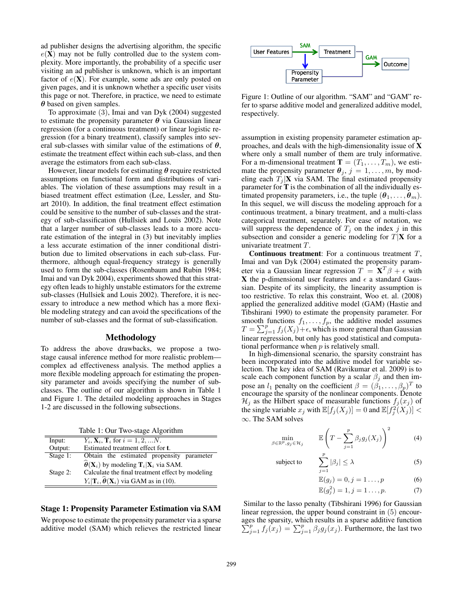ad publisher designs the advertising algorithm, the specific  $e(X)$  may not be fully controlled due to the system complexity. More importantly, the probability of a specific user visiting an ad publisher is unknown, which is an important factor of  $e(X)$ . For example, some ads are only posted on given pages, and it is unknown whether a specific user visits this page or not. Therefore, in practice, we need to estimate  $\theta$  based on given samples.

To approximate (3), Imai and van Dyk (2004) suggested to estimate the propensity parameter  $\theta$  via Gaussian linear regression (for a continuous treatment) or linear logistic regression (for a binary treatment), classify samples into several sub-classes with similar value of the estimations of  $\theta$ , estimate the treatment effect within each sub-class, and then average the estimators from each sub-class.

However, linear models for estimating  $\theta$  require restricted assumptions on functional form and distributions of variables. The violation of these assumptions may result in a biased treatment effect estimation (Lee, Lessler, and Stuart 2010). In addition, the final treatment effect estimation could be sensitive to the number of sub-classes and the strategy of sub-classification (Hullsiek and Louis 2002). Note that a larger number of sub-classes leads to a more accurate estimation of the integral in (3) but inevitably implies a less accurate estimation of the inner conditional distribution due to limited observations in each sub-class. Furthermore, although equal-frequency strategy is generally used to form the sub-classes (Rosenbaum and Rubin 1984; Imai and van Dyk 2004), experiments showed that this strategy often leads to highly unstable estimators for the extreme sub-classes (Hullsiek and Louis 2002). Therefore, it is necessary to introduce a new method which has a more flexible modeling strategy and can avoid the specifications of the number of sub-classes and the format of sub-classification.

## Methodology

To address the above drawbacks, we propose a twostage causal inference method for more realistic problem complex ad effectiveness analysis. The method applies a more flexible modeling approach for estimating the propensity parameter and avoids specifying the number of subclasses. The outline of our algorithm is shown in Table 1 and Figure 1. The detailed modeling approaches in Stages 1-2 are discussed in the following subsections.

|          | Table 1: Our Two-stage Algorithm                                                               |
|----------|------------------------------------------------------------------------------------------------|
| Input:   | $Y_i, X_i, T_i$ for $i = 1, 2, N$ .                                                            |
| Output:  | Estimated treatment effect for <b>t</b> .                                                      |
| Stage 1: | Obtain the estimated propensity parameter                                                      |
|          | $\widehat{\boldsymbol{\theta}}(\mathbf{X}_i)$ by modeling $\mathbf{T}_i \mathbf{X}_i$ via SAM. |
| Stage 2: | Calculate the final treatment effect by modeling                                               |
|          | $Y_i \mathbf{T}_i, \widehat{\boldsymbol{\theta}}(\mathbf{X}_i)$ via GAM as in (10).            |

#### Stage 1: Propensity Parameter Estimation via SAM

We propose to estimate the propensity parameter via a sparse additive model (SAM) which relieves the restricted linear



Figure 1: Outline of our algorithm. "SAM" and "GAM" refer to sparse additive model and generalized additive model, respectively.

assumption in existing propensity parameter estimation approaches, and deals with the high-dimensionality issue of X where only a small number of them are truly informative. For a m-dimensional treatment  $\mathbf{T} = (T_1, \dots, T_m)$ , we estimate the propensity parameter  $\theta_j$ ,  $j = 1, \ldots, m$ , by modeling each  $T_i | \mathbf{X}$  via SAM. The final estimated propensity parameter for T is the combination of all the individually estimated propensity parameters, i.e., the tuple  $(\theta_1, \ldots, \theta_m)$ . In this sequel, we will discuss the modeling approach for a continuous treatment, a binary treatment, and a multi-class categorical treatment, separately. For ease of notation, we will suppress the dependence of  $T_j$  on the index j in this subsection and consider a generic modeling for  $T|\mathbf{X}$  for a univariate treatment T.

**Continuous treatment**: For a continuous treatment  $T$ , Imai and van Dyk (2004) estimated the propensity parameter via a Gaussian linear regression  $T = \mathbf{X}^T \beta + \epsilon$  with X the p-dimensional user features and  $\epsilon$  a standard Gaussian. Despite of its simplicity, the linearity assumption is too restrictive. To relax this constraint, Woo et. al. (2008) applied the generalized additive model (GAM) (Hastie and Tibshirani 1990) to estimate the propensity parameter. For smooth functions  $f_1, \ldots, f_p$ , the additive model assumes  $T = \sum_{j=1}^{p} f_j(X_j) + \epsilon$ , which is more general than Gaussian linear regression, but only has good statistical and computational performance when  $p$  is relatively small.

In high-dimensional scenario, the sparsity constraint has been incorporated into the additive model for variable selection. The key idea of SAM (Ravikumar et al. 2009) is to scale each component function by a scalar  $\beta_i$  and then impose an  $l_1$  penalty on the coefficient  $\beta = (\beta_1, \dots, \beta_p)^T$  to encourage the sparsity of the nonlinear components. Denote  $\mathcal{H}_j$  as the Hilbert space of measurable functions  $f_j(x_j)$  of the single variable  $x_j$  with  $\mathbb{E}[f_j(X_j)] = 0$  and  $\mathbb{E}[f_j^2(X_j)] <$ ∞. The SAM solves

$$
\min_{\beta \in \mathbb{R}^p, g_j \in \mathcal{H}_j} \qquad \mathbb{E}\left(T - \sum_{j=1}^p \beta_j g_j(X_j)\right)^2 \tag{4}
$$

subject to 
$$
\sum_{j=1}^{p} |\beta_j| \leq \lambda
$$
 (5)

$$
\mathbb{E}(g_j) = 0, j = 1 \dots, p \tag{6}
$$

$$
\mathbb{E}(g_j^2) = 1, j = 1 \dots, p. \tag{7}
$$

Similar to the lasso penalty (Tibshirani 1996) for Gaussian linear regression, the upper bound constraint in (5) encourages the sparsity, which results in a sparse additive function  $\sum_{j=1}^{p} f_j(x_j) = \sum_{j=1}^{p} \beta_j g_j(x_j)$ . Furthermore, the last two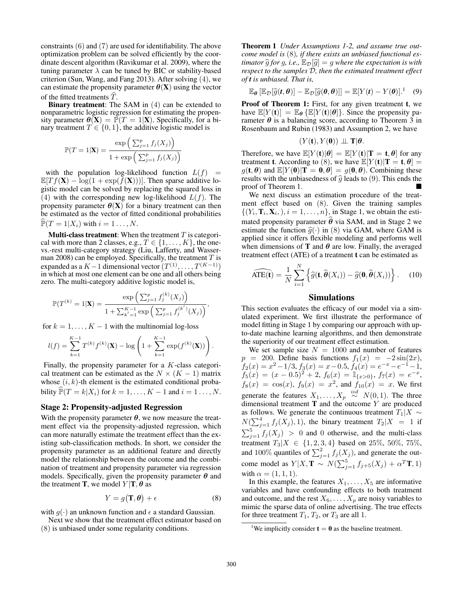constraints (6) and (7) are used for identifiability. The above optimization problem can be solved efficiently by the coordinate descent algorithm (Ravikumar et al. 2009), where the tuning parameter  $\lambda$  can be tuned by BIC or stability-based criterion (Sun, Wang, and Fang 2013). After solving (4), we can estimate the propensity parameter  $\theta(\mathbf{X})$  using the vector of the fitted treatments  $T$ .

Binary treatment: The SAM in (4) can be extended to nonparametric logistic regression for estimating the propensity parameter  $\underline{\theta}(\mathbf{X}) = \overline{\mathbb{P}}(T = 1|\mathbf{X})$ . Specifically, for a binary treatment  $T \in \{0, 1\}$ , the additive logistic model is

$$
\mathbb{P}(T=1|\mathbf{X}) = \frac{\exp\left(\sum_{j=1}^p f_j(X_j)\right)}{1+\exp\left(\sum_{j=1}^p f_j(X_j)\right)}
$$

with the population log-likelihood function  $L(f)$  =  $\mathbb{E}[T f(\mathbf{X}) - \log(1 + \exp(f(\mathbf{X})))]$ . Then sparse additive logistic model can be solved by replacing the squared loss in (4) with the corresponding new log-likelihood  $L(f)$ . The propensity parameter  $\theta(\mathbf{X})$  for a binary treatment can then be estimated as the vector of fitted conditional probabilities  $\mathbb{P}(T = 1 | X_i)$  with  $i = 1 \dots, N$ .

**Multi-class treatment:** When the treatment  $T$  is categorical with more than 2 classes, e.g.,  $T \in \{1, \ldots, K\}$ , the onevs.-rest multi-category strategy (Liu, Lafferty, and Wasserman 2008) can be employed. Specifically, the treatment  $T$  is expanded as a  $K-1$  dimensional vector  $(T^{(1)}, \ldots, T^{(K-1)})$ in which at most one element can be one and all others being zero. The multi-category additive logistic model is,

$$
\mathbb{P}(T^{(k)} = 1|\mathbf{X}) = \frac{\exp\left(\sum_{j=1}^p f_j^{(k)}(X_j)\right)}{1 + \sum_{k'=1}^{K-1} \exp\left(\sum_{j=1}^p f_j^{(k')}(X_j)\right)},
$$

for  $k = 1, \ldots, K - 1$  with the multinomial log-loss

$$
l(f) = \sum_{k=1}^{K-1} T^{(k)} f^{(k)}(\mathbf{X}) - \log \left( 1 + \sum_{k=1}^{K-1} \exp(f^{(k)}(\mathbf{X})) \right).
$$

Finally, the propensity parameter for a K-class categorical treatment can be estimated as the  $N \times (K - 1)$  matrix whose  $(i, k)$ -th element is the estimated conditional probability  $\mathbb{P}(T = k | X_i)$  for  $k = 1, ..., K - 1$  and  $i = 1, ..., N$ .

# Stage 2: Propensity-adjusted Regression

With the propensity parameter  $\theta$ , we now measure the treatment effect via the propensity-adjusted regression, which can more naturally estimate the treatment effect than the existing sub-classification methods. In short, we consider the propensity parameter as an additional feature and directly model the relationship between the outcome and the combination of treatment and propensity parameter via regression models. Specifically, given the propensity parameter  $\theta$  and the treatment **T**, we model  $Y|T, \theta$  as

$$
Y = g(\mathbf{T}, \boldsymbol{\theta}) + \epsilon \tag{8}
$$

with  $g(\cdot)$  an unknown function and  $\epsilon$  a standard Gaussian. Next we show that the treatment effect estimator based on

(8) is unbiased under some regularity conditions.

Theorem 1 *Under Assumptions 1-2, and assume true outcome model is* (8)*, if there exists an unbiased functional estimator*  $\hat{g}$  *for* g, *i.e.*,  $\mathbb{E}_{\mathcal{D}}[\hat{g}] = g$  *where the expectation is with respect to the samples* D*, then the estimated treatment effect of t is unbiased. That is,*

$$
\mathbb{E}_{\theta}\left[\mathbb{E}_{\mathcal{D}}[\widehat{g}(t,\theta)] - \mathbb{E}_{\mathcal{D}}[\widehat{g}(0,\theta)]\right] = \mathbb{E}[Y(t) - Y(0)].^{1} \quad (9)
$$

Proof of Theorem 1: First, for any given treatment t, we have  $\mathbb{E}[Y(t)] = \mathbb{E}_{\theta} {\mathbb{E}[Y(t)|\theta]}$ . Since the propensity parameter  $\theta$  is a balancing score, according to Theorem 3 in Rosenbaum and Rubin (1983) and Assumption 2, we have

$$
(Y(\mathbf{t}), Y(\mathbf{0})) \perp \! \! \! \perp T | \theta.
$$

Therefore, we have  $\mathbb{E}[Y(t)|\theta] = \mathbb{E}[Y(t)|T = t, \theta]$  for any treatment **t**. According to (8), we have  $\mathbb{E}[Y(t)|T = t, \theta] =$  $g(\mathbf{t}, \boldsymbol{\theta})$  and  $\mathbb{E}[Y(\mathbf{0}) | \mathbf{T} = \mathbf{0}, \boldsymbol{\theta}] = g(\mathbf{0}, \boldsymbol{\theta})$ . Combining these results with the unbiasedness of  $\hat{g}$  leads to (9). This ends the proof of Theorem 1.

We next discuss an estimation procedure of the treatment effect based on (8). Given the training samples  $\{(Y_i, \mathbf{T}_i, \mathbf{X}_i,), i = 1, \dots, n\}$ , in Stage 1, we obtain the estimated propensity parameter  $\theta$  via SAM, and in Stage 2 we estimate the function  $\hat{g}(\cdot)$  in (8) via GAM, where GAM is applied since it offers flexible modeling and performs well when dimensions of **T** and  $\theta$  are low. Finally, the averaged treatment effect (ATE) of a treatment t can be estimated as

$$
\widehat{\text{ATE}(\mathbf{t})} = \frac{1}{N} \sum_{i=1}^{N} \left\{ \widehat{g}(\mathbf{t}, \widehat{\boldsymbol{\theta}}(X_i)) - \widehat{g}(\mathbf{0}, \widehat{\boldsymbol{\theta}}(X_i)) \right\}.
$$
 (10)

### Simulations

This section evaluates the efficacy of our model via a simulated experiment. We first illustrate the performance of model fitting in Stage 1 by comparing our approach with upto-date machine learning algorithms, and then demonstrate the superiority of our treatment effect estimation.

We set sample size  $N = 1000$  and number of features  $p = 200$ . Define basis functions  $f_1(x) = -2\sin(2x)$ ,  $f_2(x) = x^2 - 1/3$ ,  $f_3(x) = x - 0.5$ ,  $f_4(x) = e^{-x} - e^{-1} - 1$ ,  $f_5(x) = (x - 0.5)^2 + 2, f_6(x) = \mathbb{I}_{\{x > 0\}}, f_7(x) = e^{-x},$  $f_8(x) = \cos(x), f_9(x) = x^2$ , and  $f_{10}(x) = x$ . We first generate the features  $X_1, \ldots, X_p \stackrel{iid}{\sim} N(0, 1)$ . The three dimensional treatment  **and the outcome**  $Y$  **are produced** as follows. We generate the continuous treatment  $T_1|X \sim$  $N(\sum_{j=1}^{4} f_j(X_j), 1)$ , the binary treatment  $T_2|X = 1$  if  $\sum_{j=1}^{5} f_j(X_j) > 0$  and 0 otherwise, and the multi-class treatment  $T_3|X \in \{1, 2, 3, 4\}$  based on  $25\%$ ,  $50\%$ ,  $75\%$ , and 100% quantiles of  $\sum_{j=1}^{2} f_j(X_j)$ , and generate the outcome model as  $Y|X, \mathbf{T} \sim N(\sum_{j=1}^{5} f_{j+5}(X_j) + \alpha^T \mathbf{T}, 1)$ with  $\alpha = (1, 1, 1)$ .

In this example, the features  $X_1, \ldots, X_5$  are informative variables and have confounding effects to both treatment and outcome, and the rest  $X_6, \ldots, X_p$  are noisy variables to mimic the sparse data of online advertising. The true effects for three treatment  $T_1$ ,  $T_2$ , or  $T_3$  are all 1.

<sup>&</sup>lt;sup>1</sup>We implicitly consider  $t = 0$  as the baseline treatment.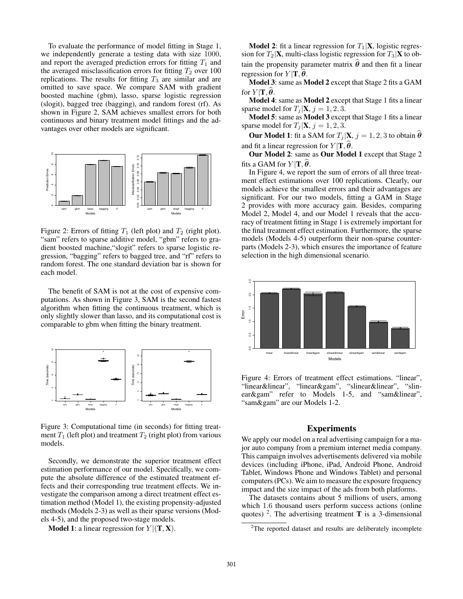To evaluate the performance of model fitting in Stage 1, we independently generate a testing data with size 1000, and report the averaged prediction errors for fitting  $T_1$  and the averaged misclassification errors for fitting  $T_2$  over 100 replications. The results for fitting  $T_3$  are similar and are omitted to save space. We compare SAM with gradient boosted machine (gbm), lasso, sparse logistic regression (slogit), bagged tree (bagging), and random forest (rf). As shown in Figure 2, SAM achieves smallest errors for both continuous and binary treatment model fittings and the advantages over other models are significant.



Figure 2: Errors of fitting  $T_1$  (left plot) and  $T_2$  (right plot). "sam" refers to sparse additive model, "gbm" refers to gradient boosted machine,"slogit" refers to sparse logistic regression, "bagging" refers to bagged tree, and "rf" refers to random forest. The one standard deviation bar is shown for each model.

The benefit of SAM is not at the cost of expensive computations. As shown in Figure 3, SAM is the second fastest algorithm when fitting the continuous treatment, which is only slightly slower than lasso, and its computational cost is comparable to gbm when fitting the binary treatment.



Figure 3: Computational time (in seconds) for fitting treatment  $T_1$  (left plot) and treatment  $T_2$  (right plot) from various models.

Secondly, we demonstrate the superior treatment effect estimation performance of our model. Specifically, we compute the absolute difference of the estimated treatment effects and their corresponding true treatment effects. We investigate the comparison among a direct treatment effect estimation method (Model 1), the existing propensity-adjusted methods (Models 2-3) as well as their sparse versions (Models 4-5), and the proposed two-stage models.

**Model 1:** a linear regression for  $Y | (T, X)$ .

**Model 2:** fit a linear regression for  $T_1|\mathbf{X}$ , logistic regression for  $T_2|\mathbf{X}$ , multi-class logistic regression for  $T_3|\mathbf{X}$  to obtain the propensity parameter matrix  $\theta$  and then fit a linear regression for  $Y|{\bf T}, \theta$ .

Model 3: same as Model 2 except that Stage 2 fits a GAM for  $Y|{\bf T},\boldsymbol{\theta}$ .

Model 4: same as Model 2 except that Stage 1 fits a linear sparse model for  $T_i | \mathbf{X}, j = 1, 2, 3$ .

Model 5: same as Model 3 except that Stage 1 fits a linear sparse model for  $T_i | \mathbf{X}, j = 1, 2, 3$ .

**Our Model 1:** fit a SAM for  $T_j|\mathbf{X}, j = 1, 2, 3$  to obtain  $\widehat{\boldsymbol{\theta}}$ and fit a linear regression for  $Y|\mathbf{T}, \widehat{\boldsymbol{\theta}}$ .

Our Model 2: same as Our Model 1 except that Stage 2 fits a GAM for  $Y|{\bf T},\boldsymbol{\theta}$ .

In Figure 4, we report the sum of errors of all three treatment effect estimations over 100 replications. Clearly, our models achieve the smallest errors and their advantages are significant. For our two models, fitting a GAM in Stage 2 provides with more accuracy gain. Besides, comparing Model 2, Model 4, and our Model 1 reveals that the accuracy of treatment fitting in Stage 1 is extremely important for the final treatment effect estimation. Furthermore, the sparse models (Models 4-5) outperform their non-sparse counterparts (Models 2-3), which ensures the importance of feature selection in the high dimensional scenario.



Figure 4: Errors of treatment effect estimations. "linear", "linear&linear", "linear&gam", "slinear&linear", "slinear&gam" refer to Models 1-5, and "sam&linear", "sam&gam" are our Models 1-2.

### Experiments

We apply our model on a real advertising campaign for a major auto company from a premium internet media company. This campaign involves advertisements delivered via mobile devices (including iPhone, iPad, Android Phone, Android Tablet, Windows Phone and Windows Tablet) and personal computers (PCs). We aim to measure the exposure frequency impact and the size impact of the ads from both platforms.

The datasets contains about 5 millions of users, among which 1.6 thousand users perform success actions (online quotes) <sup>2</sup>. The advertising treatment **T** is a 3-dimensional

 $2$ The reported dataset and results are deliberately incomplete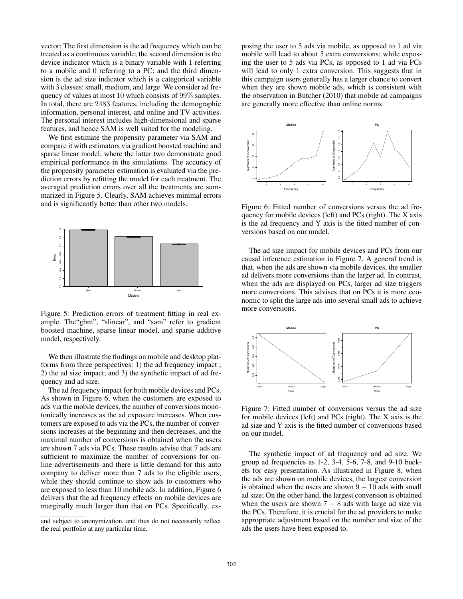vector: The first dimension is the ad frequency which can be treated as a continuous variable; the second dimension is the device indicator which is a binary variable with 1 referring to a mobile and 0 referring to a PC; and the third dimension is the ad size indicator which is a categorical variable with 3 classes: small, medium, and large. We consider ad frequency of values at most 10 which consists of 99% samples. In total, there are 2483 features, including the demographic information, personal interest, and online and TV activities. The personal interest includes high-dimensional and sparse features, and hence SAM is well suited for the modeling.

We first estimate the propensity parameter via SAM and compare it with estimators via gradient boosted machine and sparse linear model, where the latter two demonstrate good empirical performance in the simulations. The accuracy of the propensity parameter estimation is evaluated via the prediction errors by refitting the model for each treatment. The averaged prediction errors over all the treatments are summarized in Figure 5. Clearly, SAM achieves minimal errors and is significantly better than other two models.



Figure 5: Prediction errors of treatment fitting in real example. The"gbm", "slinear", and "sam" refer to gradient boosted machine, sparse linear model, and sparse additive model, respectively.

We then illustrate the findings on mobile and desktop platforms from three perspectives: 1) the ad frequency impact ; 2) the ad size impact; and 3) the synthetic impact of ad frequency and ad size.

The ad frequency impact for both mobile devices and PCs. As shown in Figure 6, when the customers are exposed to ads via the mobile devices, the number of conversions monotonically increases as the ad exposure increases. When customers are exposed to ads via the PCs, the number of conversions increases at the beginning and then decreases, and the maximal number of conversions is obtained when the users are shown 7 ads via PCs. These results advise that 7 ads are sufficient to maximize the number of conversions for online advertisements and there is little demand for this auto company to deliver more than 7 ads to the eligible users; while they should continue to show ads to customers who are exposed to less than 10 mobile ads. In addition, Figure 6 delivers that the ad frequency effects on mobile devices are marginally much larger than that on PCs. Specifically, exposing the user to 5 ads via mobile, as opposed to 1 ad via mobile will lead to about 5 extra conversions; while exposing the user to 5 ads via PCs, as opposed to 1 ad via PCs will lead to only 1 extra conversion. This suggests that in this campaign users generally has a larger chance to convert when they are shown mobile ads, which is consistent with the observation in Butcher (2010) that mobile ad campaigns are generally more effective than online norms.



Figure 6: Fitted number of conversions versus the ad frequency for mobile devices (left) and PCs (right). The X axis is the ad frequency and Y axis is the fitted number of conversions based on our model.

The ad size impact for mobile devices and PCs from our causal inference estimation in Figure 7. A general trend is that, when the ads are shown via mobile devices, the smaller ad delivers more conversions than the larger ad. In contrast, when the ads are displayed on PCs, larger ad size triggers more conversions. This advises that on PCs it is more economic to split the large ads into several small ads to achieve more conversions.



Figure 7: Fitted number of conversions versus the ad size for mobile devices (left) and PCs (right). The X axis is the ad size and Y axis is the fitted number of conversions based on our model.

The synthetic impact of ad frequency and ad size. We group ad frequencies as 1-2, 3-4, 5-6, 7-8, and 9-10 buckets for easy presentation. As illustrated in Figure 8, when the ads are shown on mobile devices, the largest conversion is obtained when the users are shown  $9 - 10$  ads with small ad size; On the other hand, the largest conversion is obtained when the users are shown  $7 - 8$  ads with large ad size via the PCs. Therefore, it is crucial for the ad providers to make appropriate adjustment based on the number and size of the ads the users have been exposed to.

and subject to anonymization, and thus do not necessarily reflect the real portfolio at any particular time.